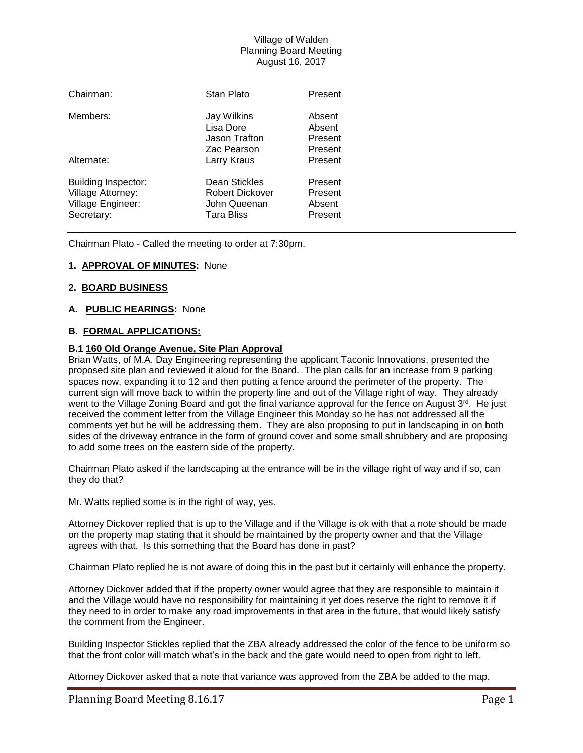# Village of Walden Planning Board Meeting August 16, 2017

| Chairman:                                                                   | Stan Plato                                                            | Present                                 |
|-----------------------------------------------------------------------------|-----------------------------------------------------------------------|-----------------------------------------|
| Members:                                                                    | Jay Wilkins<br>Lisa Dore<br>Jason Trafton<br>Zac Pearson              | Absent<br>Absent<br>Present<br>Present  |
| Alternate:                                                                  | Larry Kraus                                                           | Present                                 |
| Building Inspector:<br>Village Attorney:<br>Village Engineer:<br>Secretary: | Dean Stickles<br>Robert Dickover<br>John Queenan<br><b>Tara Bliss</b> | Present<br>Present<br>Absent<br>Present |

Chairman Plato - Called the meeting to order at 7:30pm.

# **1. APPROVAL OF MINUTES:** None

# **2. BOARD BUSINESS**

# **A. PUBLIC HEARINGS:** None

### **B. FORMAL APPLICATIONS:**

### **B.1 160 Old Orange Avenue, Site Plan Approval**

Brian Watts, of M.A. Day Engineering representing the applicant Taconic Innovations, presented the proposed site plan and reviewed it aloud for the Board. The plan calls for an increase from 9 parking spaces now, expanding it to 12 and then putting a fence around the perimeter of the property. The current sign will move back to within the property line and out of the Village right of way. They already went to the Village Zoning Board and got the final variance approval for the fence on August 3<sup>rd</sup>. He just received the comment letter from the Village Engineer this Monday so he has not addressed all the comments yet but he will be addressing them. They are also proposing to put in landscaping in on both sides of the driveway entrance in the form of ground cover and some small shrubbery and are proposing to add some trees on the eastern side of the property.

Chairman Plato asked if the landscaping at the entrance will be in the village right of way and if so, can they do that?

Mr. Watts replied some is in the right of way, yes.

Attorney Dickover replied that is up to the Village and if the Village is ok with that a note should be made on the property map stating that it should be maintained by the property owner and that the Village agrees with that. Is this something that the Board has done in past?

Chairman Plato replied he is not aware of doing this in the past but it certainly will enhance the property.

Attorney Dickover added that if the property owner would agree that they are responsible to maintain it and the Village would have no responsibility for maintaining it yet does reserve the right to remove it if they need to in order to make any road improvements in that area in the future, that would likely satisfy the comment from the Engineer.

Building Inspector Stickles replied that the ZBA already addressed the color of the fence to be uniform so that the front color will match what's in the back and the gate would need to open from right to left.

Attorney Dickover asked that a note that variance was approved from the ZBA be added to the map.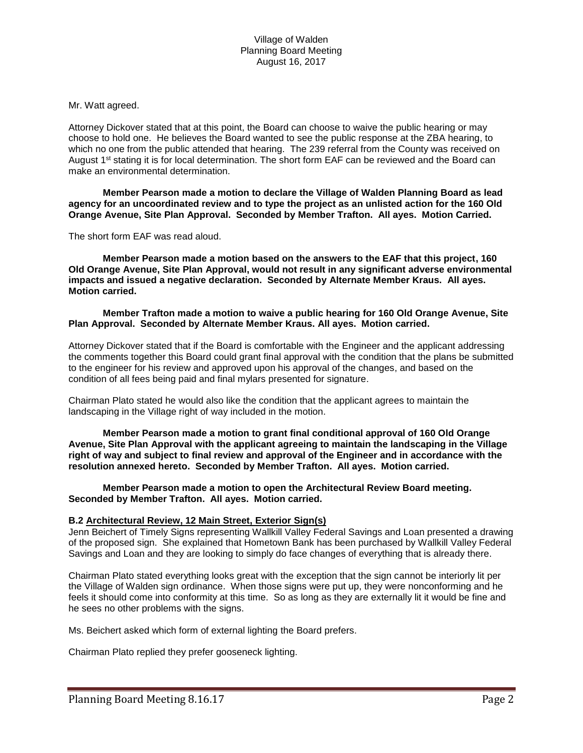Mr. Watt agreed.

Attorney Dickover stated that at this point, the Board can choose to waive the public hearing or may choose to hold one. He believes the Board wanted to see the public response at the ZBA hearing, to which no one from the public attended that hearing. The 239 referral from the County was received on August  $1<sup>st</sup>$  stating it is for local determination. The short form EAF can be reviewed and the Board can make an environmental determination.

**Member Pearson made a motion to declare the Village of Walden Planning Board as lead agency for an uncoordinated review and to type the project as an unlisted action for the 160 Old Orange Avenue, Site Plan Approval. Seconded by Member Trafton. All ayes. Motion Carried.** 

The short form EAF was read aloud.

**Member Pearson made a motion based on the answers to the EAF that this project, 160 Old Orange Avenue, Site Plan Approval, would not result in any significant adverse environmental impacts and issued a negative declaration. Seconded by Alternate Member Kraus. All ayes. Motion carried.**

### **Member Trafton made a motion to waive a public hearing for 160 Old Orange Avenue, Site Plan Approval. Seconded by Alternate Member Kraus. All ayes. Motion carried.**

Attorney Dickover stated that if the Board is comfortable with the Engineer and the applicant addressing the comments together this Board could grant final approval with the condition that the plans be submitted to the engineer for his review and approved upon his approval of the changes, and based on the condition of all fees being paid and final mylars presented for signature.

Chairman Plato stated he would also like the condition that the applicant agrees to maintain the landscaping in the Village right of way included in the motion.

**Member Pearson made a motion to grant final conditional approval of 160 Old Orange Avenue, Site Plan Approval with the applicant agreeing to maintain the landscaping in the Village right of way and subject to final review and approval of the Engineer and in accordance with the resolution annexed hereto. Seconded by Member Trafton. All ayes. Motion carried.**

**Member Pearson made a motion to open the Architectural Review Board meeting. Seconded by Member Trafton. All ayes. Motion carried.**

# **B.2 Architectural Review, 12 Main Street, Exterior Sign(s)**

Jenn Beichert of Timely Signs representing Wallkill Valley Federal Savings and Loan presented a drawing of the proposed sign. She explained that Hometown Bank has been purchased by Wallkill Valley Federal Savings and Loan and they are looking to simply do face changes of everything that is already there.

Chairman Plato stated everything looks great with the exception that the sign cannot be interiorly lit per the Village of Walden sign ordinance. When those signs were put up, they were nonconforming and he feels it should come into conformity at this time. So as long as they are externally lit it would be fine and he sees no other problems with the signs.

Ms. Beichert asked which form of external lighting the Board prefers.

Chairman Plato replied they prefer gooseneck lighting.